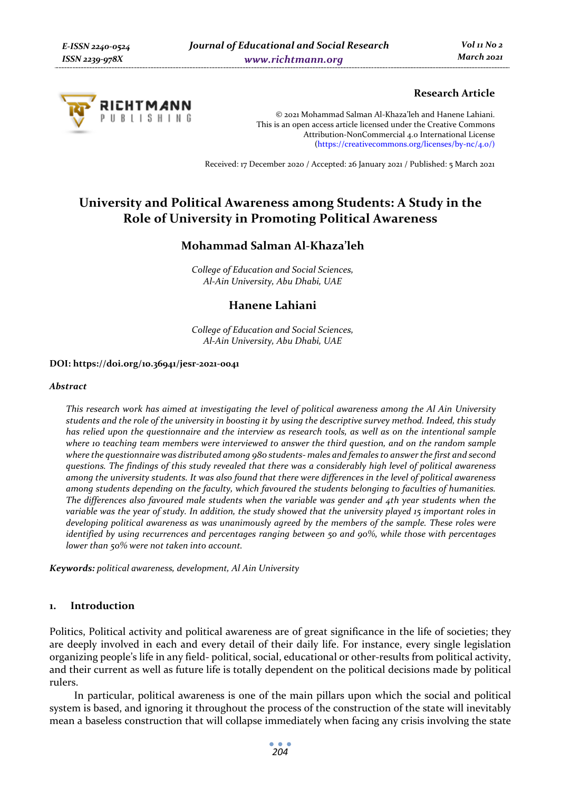

### **Research Article**

© 2021 Mohammad Salman Al-Khaza'leh and Hanene Lahiani. This is an open access article licensed under the Creative Commons Attribution-NonCommercial 4.0 International License (https://creativecommons.org/licenses/by-nc/4.0/)

Received: 17 December 2020 / Accepted: 26 January 2021 / Published: 5 March 2021

# **University and Political Awareness among Students: A Study in the Role of University in Promoting Political Awareness**

## **Mohammad Salman Al-Khaza'leh**

*College of Education and Social Sciences, Al-Ain University, Abu Dhabi, UAE* 

## **Hanene Lahiani**

*College of Education and Social Sciences, Al-Ain University, Abu Dhabi, UAE*

#### **DOI: https://doi.org/10.36941/jesr-2021-0041**

#### *Abstract*

*This research work has aimed at investigating the level of political awareness among the Al Ain University students and the role of the university in boosting it by using the descriptive survey method. Indeed, this study has relied upon the questionnaire and the interview as research tools, as well as on the intentional sample where 10 teaching team members were interviewed to answer the third question, and on the random sample where the questionnaire was distributed among 980 students- males and females to answer the first and second questions. The findings of this study revealed that there was a considerably high level of political awareness among the university students. It was also found that there were differences in the level of political awareness among students depending on the faculty, which favoured the students belonging to faculties of humanities. The differences also favoured male students when the variable was gender and 4th year students when the variable was the year of study. In addition, the study showed that the university played 15 important roles in developing political awareness as was unanimously agreed by the members of the sample. These roles were identified by using recurrences and percentages ranging between 50 and 90%, while those with percentages lower than 50% were not taken into account.* 

*Keywords: political awareness, development, Al Ain University* 

#### **1. Introduction**

Politics, Political activity and political awareness are of great significance in the life of societies; they are deeply involved in each and every detail of their daily life. For instance, every single legislation organizing people's life in any field- political, social, educational or other-results from political activity, and their current as well as future life is totally dependent on the political decisions made by political rulers.

In particular, political awareness is one of the main pillars upon which the social and political system is based, and ignoring it throughout the process of the construction of the state will inevitably mean a baseless construction that will collapse immediately when facing any crisis involving the state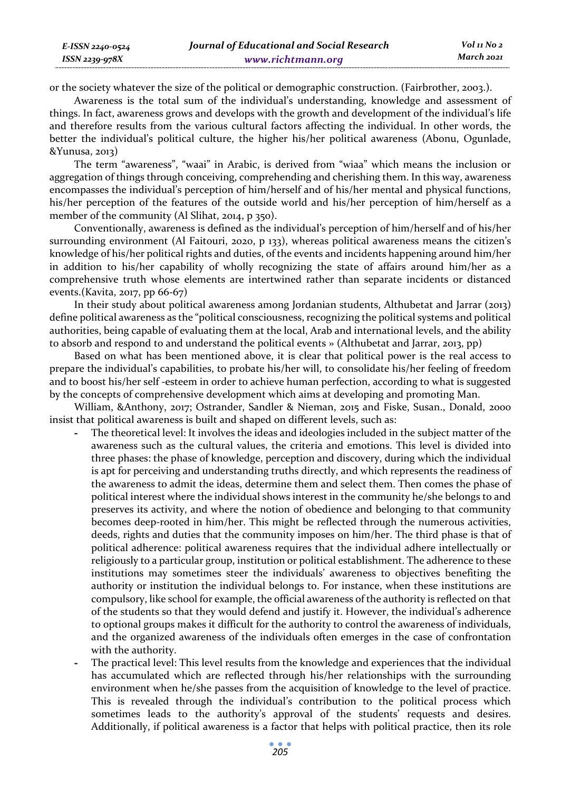or the society whatever the size of the political or demographic construction. (Fairbrother, 2003.).

*E-ISSN 2240-0524 ISSN 2239-978X*

Awareness is the total sum of the individual's understanding, knowledge and assessment of things. In fact, awareness grows and develops with the growth and development of the individual's life and therefore results from the various cultural factors affecting the individual. In other words, the better the individual's political culture, the higher his/her political awareness (Abonu, Ogunlade, &Yunusa, 2013)

The term "awareness", "waai" in Arabic, is derived from "wiaa" which means the inclusion or aggregation of things through conceiving, comprehending and cherishing them. In this way, awareness encompasses the individual's perception of him/herself and of his/her mental and physical functions, his/her perception of the features of the outside world and his/her perception of him/herself as a member of the community (Al Slihat, 2014, p 350).

Conventionally, awareness is defined as the individual's perception of him/herself and of his/her surrounding environment (Al Faitouri, 2020, p 133), whereas political awareness means the citizen's knowledge of his/her political rights and duties, of the events and incidents happening around him/her in addition to his/her capability of wholly recognizing the state of affairs around him/her as a comprehensive truth whose elements are intertwined rather than separate incidents or distanced events.(Kavita, 2017, pp 66-67)

In their study about political awareness among Jordanian students, Althubetat and Jarrar (2013) define political awareness as the "political consciousness, recognizing the political systems and political authorities, being capable of evaluating them at the local, Arab and international levels, and the ability to absorb and respond to and understand the political events » (Althubetat and Jarrar, 2013, pp)

Based on what has been mentioned above, it is clear that political power is the real access to prepare the individual's capabilities, to probate his/her will, to consolidate his/her feeling of freedom and to boost his/her self -esteem in order to achieve human perfection, according to what is suggested by the concepts of comprehensive development which aims at developing and promoting Man.

William, &Anthony, 2017; Ostrander, Sandler & Nieman, 2015 and Fiske, Susan., Donald, 2000 insist that political awareness is built and shaped on different levels, such as:

- **-** The theoretical level: It involves the ideas and ideologies included in the subject matter of the awareness such as the cultural values, the criteria and emotions. This level is divided into three phases: the phase of knowledge, perception and discovery, during which the individual is apt for perceiving and understanding truths directly, and which represents the readiness of the awareness to admit the ideas, determine them and select them. Then comes the phase of political interest where the individual shows interest in the community he/she belongs to and preserves its activity, and where the notion of obedience and belonging to that community becomes deep-rooted in him/her. This might be reflected through the numerous activities, deeds, rights and duties that the community imposes on him/her. The third phase is that of political adherence: political awareness requires that the individual adhere intellectually or religiously to a particular group, institution or political establishment. The adherence to these institutions may sometimes steer the individuals' awareness to objectives benefiting the authority or institution the individual belongs to. For instance, when these institutions are compulsory, like school for example, the official awareness of the authority is reflected on that of the students so that they would defend and justify it. However, the individual's adherence to optional groups makes it difficult for the authority to control the awareness of individuals, and the organized awareness of the individuals often emerges in the case of confrontation with the authority.
- **-** The practical level: This level results from the knowledge and experiences that the individual has accumulated which are reflected through his/her relationships with the surrounding environment when he/she passes from the acquisition of knowledge to the level of practice. This is revealed through the individual's contribution to the political process which sometimes leads to the authority's approval of the students' requests and desires. Additionally, if political awareness is a factor that helps with political practice, then its role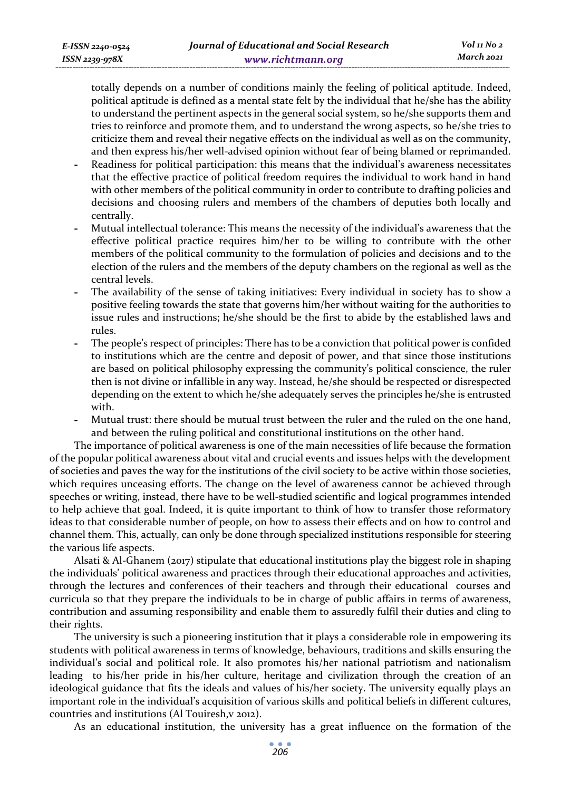totally depends on a number of conditions mainly the feeling of political aptitude. Indeed, political aptitude is defined as a mental state felt by the individual that he/she has the ability to understand the pertinent aspects in the general social system, so he/she supports them and tries to reinforce and promote them, and to understand the wrong aspects, so he/she tries to criticize them and reveal their negative effects on the individual as well as on the community, and then express his/her well-advised opinion without fear of being blamed or reprimanded.

- **-** Readiness for political participation: this means that the individual's awareness necessitates that the effective practice of political freedom requires the individual to work hand in hand with other members of the political community in order to contribute to drafting policies and decisions and choosing rulers and members of the chambers of deputies both locally and centrally.
- **-** Mutual intellectual tolerance: This means the necessity of the individual's awareness that the effective political practice requires him/her to be willing to contribute with the other members of the political community to the formulation of policies and decisions and to the election of the rulers and the members of the deputy chambers on the regional as well as the central levels.
- **-** The availability of the sense of taking initiatives: Every individual in society has to show a positive feeling towards the state that governs him/her without waiting for the authorities to issue rules and instructions; he/she should be the first to abide by the established laws and rules.
- **-** The people's respect of principles: There has to be a conviction that political power is confided to institutions which are the centre and deposit of power, and that since those institutions are based on political philosophy expressing the community's political conscience, the ruler then is not divine or infallible in any way. Instead, he/she should be respected or disrespected depending on the extent to which he/she adequately serves the principles he/she is entrusted with.
- **-** Mutual trust: there should be mutual trust between the ruler and the ruled on the one hand, and between the ruling political and constitutional institutions on the other hand.

The importance of political awareness is one of the main necessities of life because the formation of the popular political awareness about vital and crucial events and issues helps with the development of societies and paves the way for the institutions of the civil society to be active within those societies, which requires unceasing efforts. The change on the level of awareness cannot be achieved through speeches or writing, instead, there have to be well-studied scientific and logical programmes intended to help achieve that goal. Indeed, it is quite important to think of how to transfer those reformatory ideas to that considerable number of people, on how to assess their effects and on how to control and channel them. This, actually, can only be done through specialized institutions responsible for steering the various life aspects.

Alsati & Al-Ghanem (2017) stipulate that educational institutions play the biggest role in shaping the individuals' political awareness and practices through their educational approaches and activities, through the lectures and conferences of their teachers and through their educational courses and curricula so that they prepare the individuals to be in charge of public affairs in terms of awareness, contribution and assuming responsibility and enable them to assuredly fulfil their duties and cling to their rights.

The university is such a pioneering institution that it plays a considerable role in empowering its students with political awareness in terms of knowledge, behaviours, traditions and skills ensuring the individual's social and political role. It also promotes his/her national patriotism and nationalism leading to his/her pride in his/her culture, heritage and civilization through the creation of an ideological guidance that fits the ideals and values of his/her society. The university equally plays an important role in the individual's acquisition of various skills and political beliefs in different cultures, countries and institutions (Al Touiresh,v 2012).

As an educational institution, the university has a great influence on the formation of the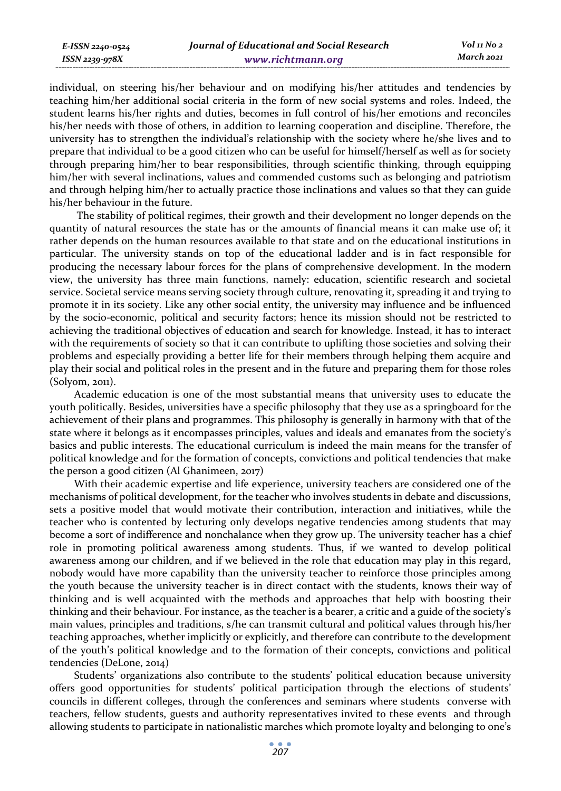individual, on steering his/her behaviour and on modifying his/her attitudes and tendencies by teaching him/her additional social criteria in the form of new social systems and roles. Indeed, the student learns his/her rights and duties, becomes in full control of his/her emotions and reconciles his/her needs with those of others, in addition to learning cooperation and discipline. Therefore, the university has to strengthen the individual's relationship with the society where he/she lives and to prepare that individual to be a good citizen who can be useful for himself/herself as well as for society through preparing him/her to bear responsibilities, through scientific thinking, through equipping him/her with several inclinations, values and commended customs such as belonging and patriotism and through helping him/her to actually practice those inclinations and values so that they can guide his/her behaviour in the future.

 The stability of political regimes, their growth and their development no longer depends on the quantity of natural resources the state has or the amounts of financial means it can make use of; it rather depends on the human resources available to that state and on the educational institutions in particular. The university stands on top of the educational ladder and is in fact responsible for producing the necessary labour forces for the plans of comprehensive development. In the modern view, the university has three main functions, namely: education, scientific research and societal service. Societal service means serving society through culture, renovating it, spreading it and trying to promote it in its society. Like any other social entity, the university may influence and be influenced by the socio-economic, political and security factors; hence its mission should not be restricted to achieving the traditional objectives of education and search for knowledge. Instead, it has to interact with the requirements of society so that it can contribute to uplifting those societies and solving their problems and especially providing a better life for their members through helping them acquire and play their social and political roles in the present and in the future and preparing them for those roles  $(Solvom, 2011)$ .

Academic education is one of the most substantial means that university uses to educate the youth politically. Besides, universities have a specific philosophy that they use as a springboard for the achievement of their plans and programmes. This philosophy is generally in harmony with that of the state where it belongs as it encompasses principles, values and ideals and emanates from the society's basics and public interests. The educational curriculum is indeed the main means for the transfer of political knowledge and for the formation of concepts, convictions and political tendencies that make the person a good citizen (Al Ghanimeen, 2017)

With their academic expertise and life experience, university teachers are considered one of the mechanisms of political development, for the teacher who involves students in debate and discussions, sets a positive model that would motivate their contribution, interaction and initiatives, while the teacher who is contented by lecturing only develops negative tendencies among students that may become a sort of indifference and nonchalance when they grow up. The university teacher has a chief role in promoting political awareness among students. Thus, if we wanted to develop political awareness among our children, and if we believed in the role that education may play in this regard, nobody would have more capability than the university teacher to reinforce those principles among the youth because the university teacher is in direct contact with the students, knows their way of thinking and is well acquainted with the methods and approaches that help with boosting their thinking and their behaviour. For instance, as the teacher is a bearer, a critic and a guide of the society's main values, principles and traditions, s/he can transmit cultural and political values through his/her teaching approaches, whether implicitly or explicitly, and therefore can contribute to the development of the youth's political knowledge and to the formation of their concepts, convictions and political tendencies (DeLone, 2014)

Students' organizations also contribute to the students' political education because university offers good opportunities for students' political participation through the elections of students' councils in different colleges, through the conferences and seminars where students converse with teachers, fellow students, guests and authority representatives invited to these events and through allowing students to participate in nationalistic marches which promote loyalty and belonging to one's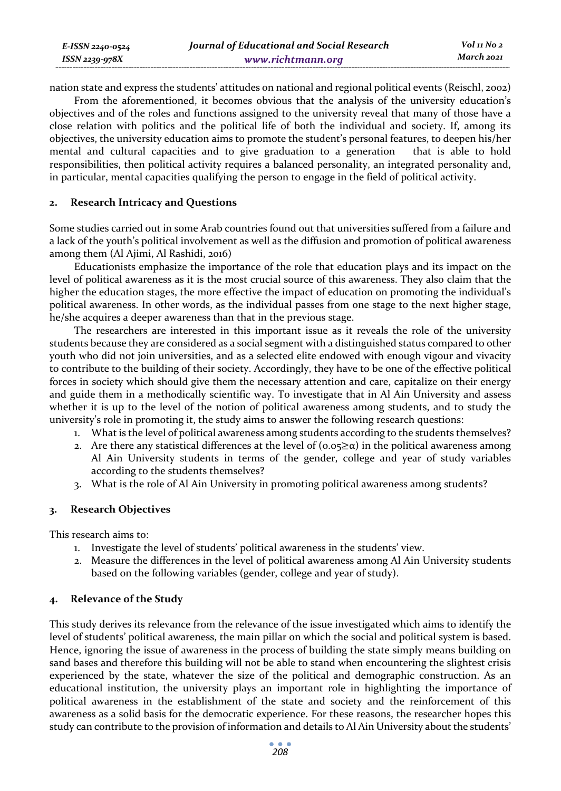| E-ISSN 2240-0524    | Journal of Educational and Social Research | Vol 11 No 2 |
|---------------------|--------------------------------------------|-------------|
| $ISSN$ 2239-978 $X$ | www.richtmann.org                          | March 2021  |

nation state and express the students' attitudes on national and regional political events (Reischl, 2002)

From the aforementioned, it becomes obvious that the analysis of the university education's objectives and of the roles and functions assigned to the university reveal that many of those have a close relation with politics and the political life of both the individual and society. If, among its objectives, the university education aims to promote the student's personal features, to deepen his/her mental and cultural capacities and to give graduation to a generation that is able to hold responsibilities, then political activity requires a balanced personality, an integrated personality and, in particular, mental capacities qualifying the person to engage in the field of political activity.

### **2. Research Intricacy and Questions**

Some studies carried out in some Arab countries found out that universities suffered from a failure and a lack of the youth's political involvement as well as the diffusion and promotion of political awareness among them (Al Ajimi, Al Rashidi, 2016)

Educationists emphasize the importance of the role that education plays and its impact on the level of political awareness as it is the most crucial source of this awareness. They also claim that the higher the education stages, the more effective the impact of education on promoting the individual's political awareness. In other words, as the individual passes from one stage to the next higher stage, he/she acquires a deeper awareness than that in the previous stage.

The researchers are interested in this important issue as it reveals the role of the university students because they are considered as a social segment with a distinguished status compared to other youth who did not join universities, and as a selected elite endowed with enough vigour and vivacity to contribute to the building of their society. Accordingly, they have to be one of the effective political forces in society which should give them the necessary attention and care, capitalize on their energy and guide them in a methodically scientific way. To investigate that in Al Ain University and assess whether it is up to the level of the notion of political awareness among students, and to study the university's role in promoting it, the study aims to answer the following research questions:

- 1. What is the level of political awareness among students according to the students themselves?
- 2. Are there any statistical differences at the level of  $(o.o<sub>5</sub> \geq \alpha)$  in the political awareness among Al Ain University students in terms of the gender, college and year of study variables according to the students themselves?
- 3. What is the role of Al Ain University in promoting political awareness among students?

## **3. Research Objectives**

This research aims to:

- 1. Investigate the level of students' political awareness in the students' view.
- 2. Measure the differences in the level of political awareness among Al Ain University students based on the following variables (gender, college and year of study).

## **4. Relevance of the Study**

This study derives its relevance from the relevance of the issue investigated which aims to identify the level of students' political awareness, the main pillar on which the social and political system is based. Hence, ignoring the issue of awareness in the process of building the state simply means building on sand bases and therefore this building will not be able to stand when encountering the slightest crisis experienced by the state, whatever the size of the political and demographic construction. As an educational institution, the university plays an important role in highlighting the importance of political awareness in the establishment of the state and society and the reinforcement of this awareness as a solid basis for the democratic experience. For these reasons, the researcher hopes this study can contribute to the provision of information and details to Al Ain University about the students'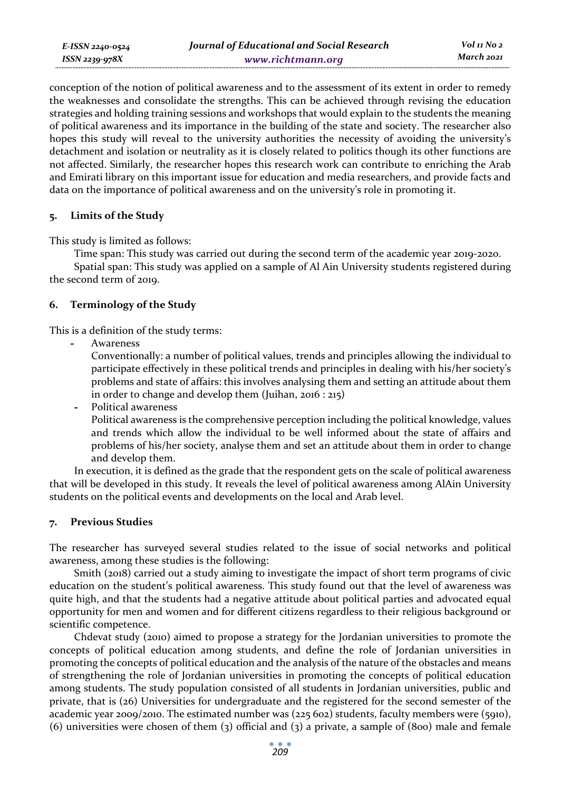conception of the notion of political awareness and to the assessment of its extent in order to remedy the weaknesses and consolidate the strengths. This can be achieved through revising the education strategies and holding training sessions and workshops that would explain to the students the meaning of political awareness and its importance in the building of the state and society. The researcher also hopes this study will reveal to the university authorities the necessity of avoiding the university's detachment and isolation or neutrality as it is closely related to politics though its other functions are not affected. Similarly, the researcher hopes this research work can contribute to enriching the Arab and Emirati library on this important issue for education and media researchers, and provide facts and data on the importance of political awareness and on the university's role in promoting it.

#### **5. Limits of the Study**

This study is limited as follows:

Time span: This study was carried out during the second term of the academic year 2019-2020.

Spatial span: This study was applied on a sample of Al Ain University students registered during the second term of 2019.

#### **6. Terminology of the Study**

This is a definition of the study terms:

**-** Awareness

Conventionally: a number of political values, trends and principles allowing the individual to participate effectively in these political trends and principles in dealing with his/her society's problems and state of affairs: this involves analysing them and setting an attitude about them in order to change and develop them (Juihan, 2016 : 215)

**-** Political awareness Political awareness is the comprehensive perception including the political knowledge, values and trends which allow the individual to be well informed about the state of affairs and problems of his/her society, analyse them and set an attitude about them in order to change and develop them.

In execution, it is defined as the grade that the respondent gets on the scale of political awareness that will be developed in this study. It reveals the level of political awareness among AlAin University students on the political events and developments on the local and Arab level.

#### **7. Previous Studies**

The researcher has surveyed several studies related to the issue of social networks and political awareness, among these studies is the following:

Smith (2018) carried out a study aiming to investigate the impact of short term programs of civic education on the student's political awareness. This study found out that the level of awareness was quite high, and that the students had a negative attitude about political parties and advocated equal opportunity for men and women and for different citizens regardless to their religious background or scientific competence.

Chdevat study (2010) aimed to propose a strategy for the Jordanian universities to promote the concepts of political education among students, and define the role of Jordanian universities in promoting the concepts of political education and the analysis of the nature of the obstacles and means of strengthening the role of Jordanian universities in promoting the concepts of political education among students. The study population consisted of all students in Jordanian universities, public and private, that is (26) Universities for undergraduate and the registered for the second semester of the academic year 2009/2010. The estimated number was (225 602) students, faculty members were (5910), (6) universities were chosen of them (3) official and (3) a private, a sample of (800) male and female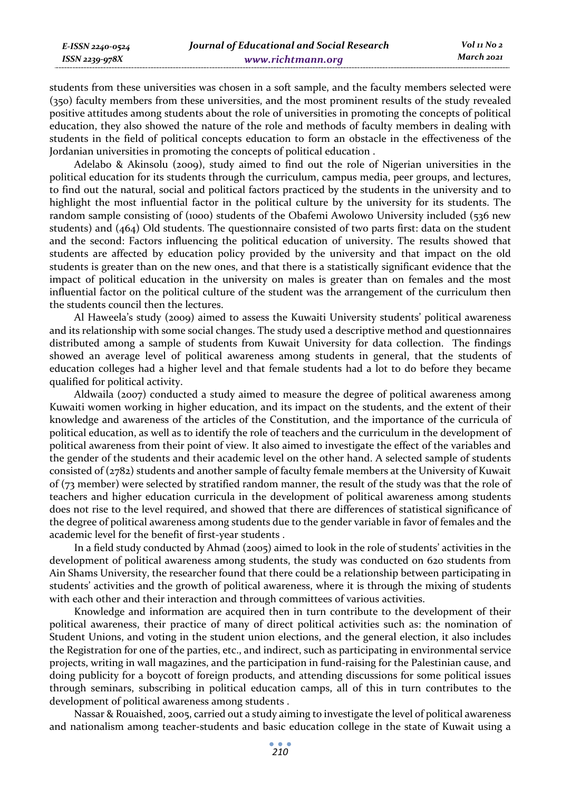students from these universities was chosen in a soft sample, and the faculty members selected were (350) faculty members from these universities, and the most prominent results of the study revealed positive attitudes among students about the role of universities in promoting the concepts of political education, they also showed the nature of the role and methods of faculty members in dealing with students in the field of political concepts education to form an obstacle in the effectiveness of the Jordanian universities in promoting the concepts of political education .

Adelabo & Akinsolu (2009), study aimed to find out the role of Nigerian universities in the political education for its students through the curriculum, campus media, peer groups, and lectures, to find out the natural, social and political factors practiced by the students in the university and to highlight the most influential factor in the political culture by the university for its students. The random sample consisting of (1000) students of the Obafemi Awolowo University included (536 new students) and (464) Old students. The questionnaire consisted of two parts first: data on the student and the second: Factors influencing the political education of university. The results showed that students are affected by education policy provided by the university and that impact on the old students is greater than on the new ones, and that there is a statistically significant evidence that the impact of political education in the university on males is greater than on females and the most influential factor on the political culture of the student was the arrangement of the curriculum then the students council then the lectures.

Al Haweela's study (2009) aimed to assess the Kuwaiti University students' political awareness and its relationship with some social changes. The study used a descriptive method and questionnaires distributed among a sample of students from Kuwait University for data collection. The findings showed an average level of political awareness among students in general, that the students of education colleges had a higher level and that female students had a lot to do before they became qualified for political activity.

Aldwaila (2007) conducted a study aimed to measure the degree of political awareness among Kuwaiti women working in higher education, and its impact on the students, and the extent of their knowledge and awareness of the articles of the Constitution, and the importance of the curricula of political education, as well as to identify the role of teachers and the curriculum in the development of political awareness from their point of view. It also aimed to investigate the effect of the variables and the gender of the students and their academic level on the other hand. A selected sample of students consisted of (2782) students and another sample of faculty female members at the University of Kuwait of (73 member) were selected by stratified random manner, the result of the study was that the role of teachers and higher education curricula in the development of political awareness among students does not rise to the level required, and showed that there are differences of statistical significance of the degree of political awareness among students due to the gender variable in favor of females and the academic level for the benefit of first-year students .

In a field study conducted by Ahmad (2005) aimed to look in the role of students' activities in the development of political awareness among students, the study was conducted on 620 students from Ain Shams University, the researcher found that there could be a relationship between participating in students' activities and the growth of political awareness, where it is through the mixing of students with each other and their interaction and through committees of various activities.

Knowledge and information are acquired then in turn contribute to the development of their political awareness, their practice of many of direct political activities such as: the nomination of Student Unions, and voting in the student union elections, and the general election, it also includes the Registration for one of the parties, etc., and indirect, such as participating in environmental service projects, writing in wall magazines, and the participation in fund-raising for the Palestinian cause, and doing publicity for a boycott of foreign products, and attending discussions for some political issues through seminars, subscribing in political education camps, all of this in turn contributes to the development of political awareness among students .

Nassar & Rouaished, 2005, carried out a study aiming to investigate the level of political awareness and nationalism among teacher-students and basic education college in the state of Kuwait using a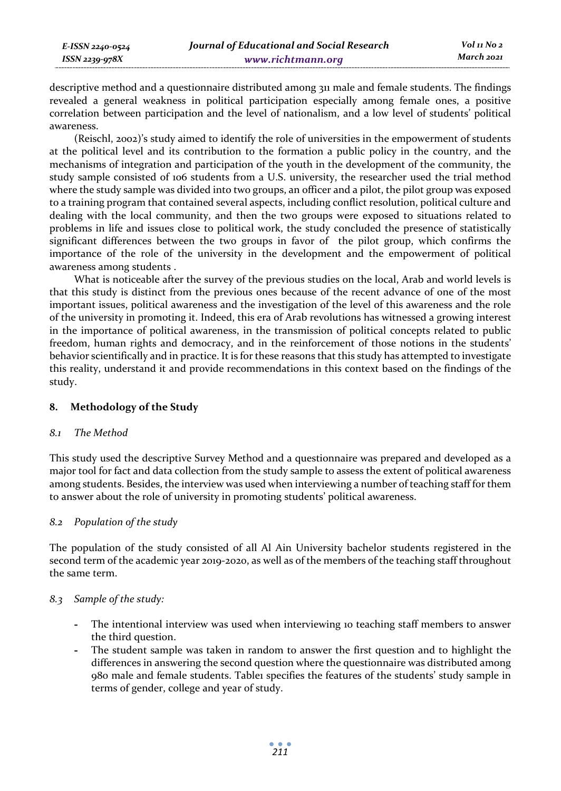*E-ISSN 2240-0524 ISSN 2239-978X*

descriptive method and a questionnaire distributed among 311 male and female students. The findings revealed a general weakness in political participation especially among female ones, a positive correlation between participation and the level of nationalism, and a low level of students' political awareness.

(Reischl, 2002)'s study aimed to identify the role of universities in the empowerment of students at the political level and its contribution to the formation a public policy in the country, and the mechanisms of integration and participation of the youth in the development of the community, the study sample consisted of 106 students from a U.S. university, the researcher used the trial method where the study sample was divided into two groups, an officer and a pilot, the pilot group was exposed to a training program that contained several aspects, including conflict resolution, political culture and dealing with the local community, and then the two groups were exposed to situations related to problems in life and issues close to political work, the study concluded the presence of statistically significant differences between the two groups in favor of the pilot group, which confirms the importance of the role of the university in the development and the empowerment of political awareness among students .

What is noticeable after the survey of the previous studies on the local, Arab and world levels is that this study is distinct from the previous ones because of the recent advance of one of the most important issues, political awareness and the investigation of the level of this awareness and the role of the university in promoting it. Indeed, this era of Arab revolutions has witnessed a growing interest in the importance of political awareness, in the transmission of political concepts related to public freedom, human rights and democracy, and in the reinforcement of those notions in the students' behavior scientifically and in practice. It is for these reasons that this study has attempted to investigate this reality, understand it and provide recommendations in this context based on the findings of the study.

#### **8. Methodology of the Study**

#### *8.1 The Method*

This study used the descriptive Survey Method and a questionnaire was prepared and developed as a major tool for fact and data collection from the study sample to assess the extent of political awareness among students. Besides, the interview was used when interviewing a number of teaching staff for them to answer about the role of university in promoting students' political awareness.

#### *8.2 Population of the study*

The population of the study consisted of all Al Ain University bachelor students registered in the second term of the academic year 2019-2020, as well as of the members of the teaching staff throughout the same term.

#### *8.3 Sample of the study:*

- **-** The intentional interview was used when interviewing 10 teaching staff members to answer the third question.
- **-** The student sample was taken in random to answer the first question and to highlight the differences in answering the second question where the questionnaire was distributed among 980 male and female students. Table1 specifies the features of the students' study sample in terms of gender, college and year of study.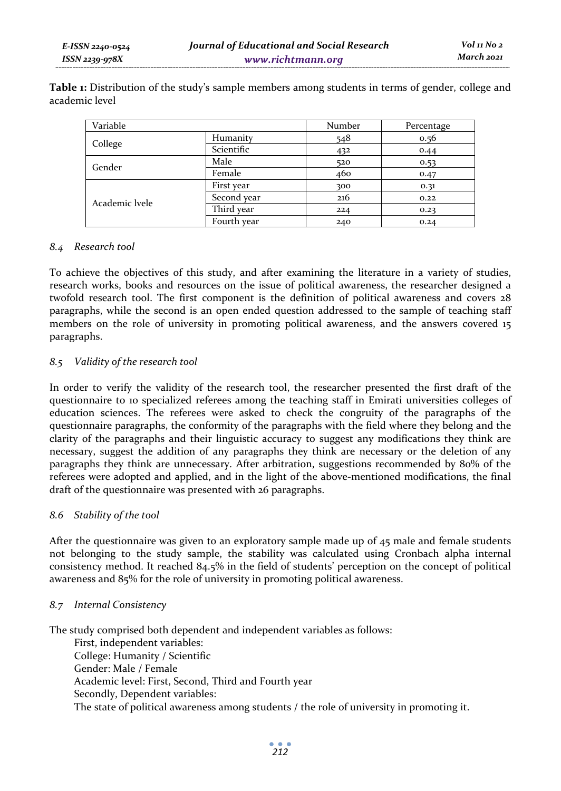**Table 1:** Distribution of the study's sample members among students in terms of gender, college and academic level

| Variable       |             | Number | Percentage |
|----------------|-------------|--------|------------|
| College        | Humanity    | 548    | 0.56       |
|                | Scientific  | 432    | 0.44       |
| Gender         | Male        | 520    | 0.53       |
|                | Female      | 460    | 0.47       |
|                | First year  | 300    | 0.31       |
|                | Second year | 216    | 0.22       |
| Academic lyele | Third year  | 224    | 0.23       |
|                | Fourth year | 240    | 0.24       |

#### *8.4 Research tool*

To achieve the objectives of this study, and after examining the literature in a variety of studies, research works, books and resources on the issue of political awareness, the researcher designed a twofold research tool. The first component is the definition of political awareness and covers 28 paragraphs, while the second is an open ended question addressed to the sample of teaching staff members on the role of university in promoting political awareness, and the answers covered 15 paragraphs.

#### *8.5 Validity of the research tool*

In order to verify the validity of the research tool, the researcher presented the first draft of the questionnaire to 10 specialized referees among the teaching staff in Emirati universities colleges of education sciences. The referees were asked to check the congruity of the paragraphs of the questionnaire paragraphs, the conformity of the paragraphs with the field where they belong and the clarity of the paragraphs and their linguistic accuracy to suggest any modifications they think are necessary, suggest the addition of any paragraphs they think are necessary or the deletion of any paragraphs they think are unnecessary. After arbitration, suggestions recommended by 80% of the referees were adopted and applied, and in the light of the above-mentioned modifications, the final draft of the questionnaire was presented with 26 paragraphs.

#### *8.6 Stability of the tool*

After the questionnaire was given to an exploratory sample made up of 45 male and female students not belonging to the study sample, the stability was calculated using Cronbach alpha internal consistency method. It reached 84.5% in the field of students' perception on the concept of political awareness and 85% for the role of university in promoting political awareness.

#### *8.7 Internal Consistency*

The study comprised both dependent and independent variables as follows:

First, independent variables: College: Humanity / Scientific Gender: Male / Female Academic level: First, Second, Third and Fourth year Secondly, Dependent variables: The state of political awareness among students / the role of university in promoting it.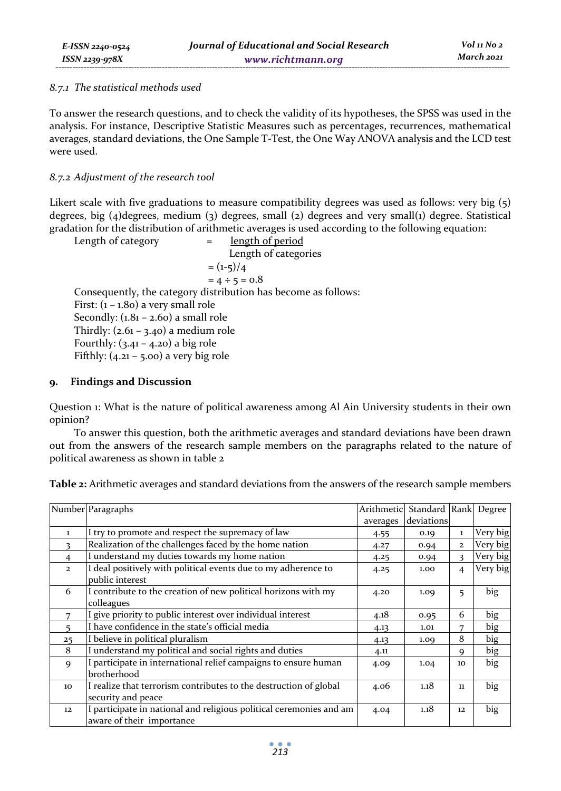#### *8.7.1 The statistical methods used*

To answer the research questions, and to check the validity of its hypotheses, the SPSS was used in the analysis. For instance, Descriptive Statistic Measures such as percentages, recurrences, mathematical averages, standard deviations, the One Sample T-Test, the One Way ANOVA analysis and the LCD test were used.

### *8.7.2 Adjustment of the research tool*

Likert scale with five graduations to measure compatibility degrees was used as follows: very big (5) degrees, big (4)degrees, medium (3) degrees, small (2) degrees and very small(1) degree. Statistical gradation for the distribution of arithmetic averages is used according to the following equation:

Length of category  $=$  length of period Length of categories  $=(1-5)/4$  $= 4 \div 5 = 0.8$ Consequently, the category distribution has become as follows: First:  $(1 - 1.80)$  a very small role Secondly:  $(1.81 - 2.60)$  a small role Thirdly:  $(2.61 - 3.40)$  a medium role Fourthly:  $(3.41 - 4.20)$  a big role Fifthly:  $(4.21 - 5.00)$  a very big role

#### **9. Findings and Discussion**

Question 1: What is the nature of political awareness among Al Ain University students in their own opinion?

To answer this question, both the arithmetic averages and standard deviations have been drawn out from the answers of the research sample members on the paragraphs related to the nature of political awareness as shown in table 2

| Table 2: Arithmetic averages and standard deviations from the answers of the research sample members |  |  |
|------------------------------------------------------------------------------------------------------|--|--|
|                                                                                                      |  |  |

|                | Number Paragraphs                                                                                | Arithmetic | Standard   |                | Rank Degree |
|----------------|--------------------------------------------------------------------------------------------------|------------|------------|----------------|-------------|
|                |                                                                                                  | averages   | deviations |                |             |
| $\mathbf{1}$   | I try to promote and respect the supremacy of law                                                | 4.55       | 0.19       | $\mathbf{1}$   | Very big    |
| 3              | Realization of the challenges faced by the home nation                                           | 4.27       | 0.94       | $\mathbf{2}$   | Very big    |
| $\overline{4}$ | I understand my duties towards my home nation                                                    | 4.25       | 0.94       | $\mathbf{R}$   | Very big    |
| $\overline{2}$ | I deal positively with political events due to my adherence to<br>public interest                | 4.25       | 1.00       | $\overline{4}$ | Very big    |
| 6              | I contribute to the creation of new political horizons with my<br>colleagues                     | 4.20       | 1.09       | 5              | big         |
| 7              | I give priority to public interest over individual interest                                      | 4.18       | 0.95       | 6              | big         |
| 5              | I have confidence in the state's official media                                                  | 4.13       | 1.01       | 7              | big         |
| 25             | I believe in political pluralism                                                                 | 4.13       | 1.09       | 8              | big         |
| 8              | I understand my political and social rights and duties                                           | 4.11       |            | 9              | big         |
| $\mathbf Q$    | I participate in international relief campaigns to ensure human<br>brotherhood                   | 4.09       | 1.04       | 10             | big         |
| 10             | I realize that terrorism contributes to the destruction of global<br>security and peace          | 4.06       | 1.18       | 11             | big         |
| 12             | I participate in national and religious political ceremonies and am<br>aware of their importance | 4.04       | 1.18       | 12             | big         |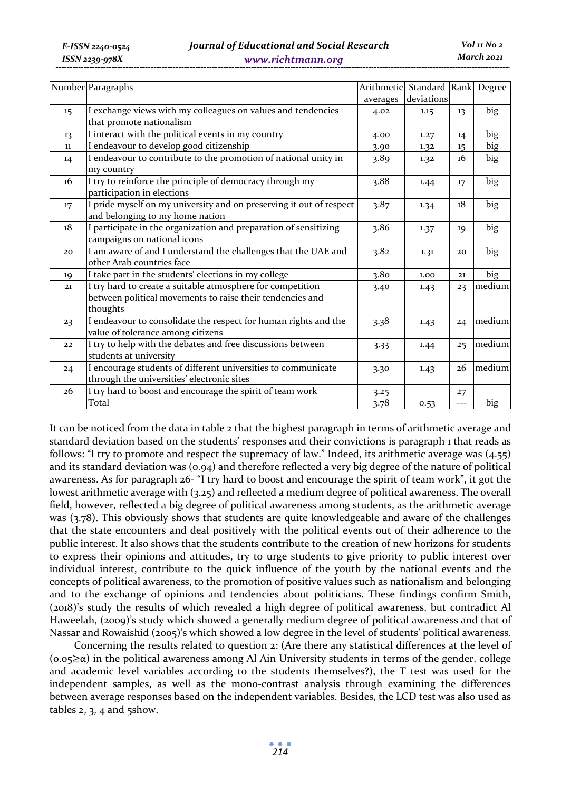|         | Number Paragraphs                                                   | Arithmetic | Standard Rank Degree |     |        |
|---------|---------------------------------------------------------------------|------------|----------------------|-----|--------|
|         |                                                                     | averages   | deviations           |     |        |
| $15 \,$ | I exchange views with my colleagues on values and tendencies        | 4.02       | 1.15                 | 13  | big    |
|         | that promote nationalism                                            |            |                      |     |        |
| 13      | I interact with the political events in my country                  | 4.00       | 1.27                 | 14  | big    |
| $11\,$  | I endeavour to develop good citizenship                             | 3.90       | 1.32                 | 15  | big    |
| 14      | I endeavour to contribute to the promotion of national unity in     | 3.89       | 1.32                 | 16  | big    |
|         | my country                                                          |            |                      |     |        |
| 16      | I try to reinforce the principle of democracy through my            | 3.88       | 1.44                 | 17  | big    |
|         | participation in elections                                          |            |                      |     |        |
| 17      | I pride myself on my university and on preserving it out of respect | 3.87       | 1.34                 | 18  | big    |
|         | and belonging to my home nation                                     |            |                      |     |        |
| 18      | I participate in the organization and preparation of sensitizing    | 3.86       | 1.37                 | 19  | big    |
|         | campaigns on national icons                                         |            |                      |     |        |
| 20      | I am aware of and I understand the challenges that the UAE and      | 3.82       | 1.31                 | 20  | big    |
|         | other Arab countries face                                           |            |                      |     |        |
| 19      | I take part in the students' elections in my college                | 3.80       | 1.00                 | 21  | big    |
| 21      | I try hard to create a suitable atmosphere for competition          | 3.40       | 1.43                 | 23  | medium |
|         | between political movements to raise their tendencies and           |            |                      |     |        |
|         | thoughts                                                            |            |                      |     |        |
| 23      | I endeavour to consolidate the respect for human rights and the     | 3.38       | 1.43                 | 24  | medium |
|         | value of tolerance among citizens                                   |            |                      |     |        |
| 22      | I try to help with the debates and free discussions between         | 3.33       | 1.44                 | 25  | medium |
|         | students at university                                              |            |                      |     |        |
| 24      | I encourage students of different universities to communicate       | 3.30       | 1.43                 | 26  | medium |
|         | through the universities' electronic sites                          |            |                      |     |        |
| 26      | I try hard to boost and encourage the spirit of team work           | 3.25       |                      | 27  |        |
|         | Total                                                               | 3.78       | 0.53                 | --- | big    |

It can be noticed from the data in table 2 that the highest paragraph in terms of arithmetic average and standard deviation based on the students' responses and their convictions is paragraph 1 that reads as follows: "I try to promote and respect the supremacy of law." Indeed, its arithmetic average was (4.55) and its standard deviation was (0.94) and therefore reflected a very big degree of the nature of political awareness. As for paragraph 26- "I try hard to boost and encourage the spirit of team work", it got the lowest arithmetic average with (3.25) and reflected a medium degree of political awareness. The overall field, however, reflected a big degree of political awareness among students, as the arithmetic average was (3.78). This obviously shows that students are quite knowledgeable and aware of the challenges that the state encounters and deal positively with the political events out of their adherence to the public interest. It also shows that the students contribute to the creation of new horizons for students to express their opinions and attitudes, try to urge students to give priority to public interest over individual interest, contribute to the quick influence of the youth by the national events and the concepts of political awareness, to the promotion of positive values such as nationalism and belonging and to the exchange of opinions and tendencies about politicians. These findings confirm Smith, (2018)'s study the results of which revealed a high degree of political awareness, but contradict Al Haweelah, (2009)'s study which showed a generally medium degree of political awareness and that of Nassar and Rowaishid (2005)'s which showed a low degree in the level of students' political awareness.

Concerning the results related to question 2: (Are there any statistical differences at the level of  $(0.052\alpha)$  in the political awareness among Al Ain University students in terms of the gender, college and academic level variables according to the students themselves?), the T test was used for the independent samples, as well as the mono-contrast analysis through examining the differences between average responses based on the independent variables. Besides, the LCD test was also used as tables 2, 3, 4 and 5show.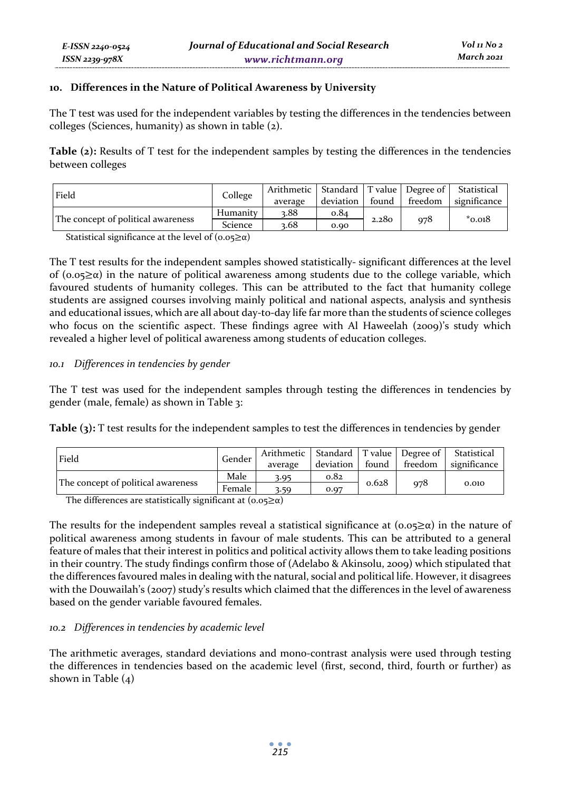The T test was used for the independent variables by testing the differences in the tendencies between colleges (Sciences, humanity) as shown in table (2).

**Table (2):** Results of T test for the independent samples by testing the differences in the tendencies between colleges

| Field                              | College         | Arithmetic   Standard   T value   Degree of   Statistical | deviation | found | freedom | significance |
|------------------------------------|-----------------|-----------------------------------------------------------|-----------|-------|---------|--------------|
|                                    |                 | average                                                   |           |       |         |              |
| The concept of political awareness | Humanity        | 3.88                                                      | 0.84      | 2.280 | 978     | $*_{0.018}$  |
|                                    | Science<br>3.68 |                                                           | 0.90      |       |         |              |

Statistical significance at the level of  $(0.05 \ge \alpha)$ 

*E-ISSN 2240-0524 ISSN 2239-978X*

The T test results for the independent samples showed statistically- significant differences at the level of (0.05 $\geq \alpha$ ) in the nature of political awareness among students due to the college variable, which favoured students of humanity colleges. This can be attributed to the fact that humanity college students are assigned courses involving mainly political and national aspects, analysis and synthesis and educational issues, which are all about day-to-day life far more than the students of science colleges who focus on the scientific aspect. These findings agree with Al Haweelah (2009)'s study which revealed a higher level of political awareness among students of education colleges.

#### *10.1 Differences in tendencies by gender*

The T test was used for the independent samples through testing the differences in tendencies by gender (male, female) as shown in Table 3:

**Table (3):** T test results for the independent samples to test the differences in tendencies by gender

| Field                              | Gender | Arithmetic   Standard   T value   Degree of  <br>average | deviation | found | freedom | Statistical<br>significance |
|------------------------------------|--------|----------------------------------------------------------|-----------|-------|---------|-----------------------------|
| The concept of political awareness | Male   | 3.95                                                     | 0.82      | 0.628 |         |                             |
|                                    | Female | 3.59                                                     | 0.97      |       | 978     | 0.010                       |

The differences are statistically significant at  $(0.05\geq\alpha)$ 

The results for the independent samples reveal a statistical significance at  $(0.05\ge\alpha)$  in the nature of political awareness among students in favour of male students. This can be attributed to a general feature of males that their interest in politics and political activity allows them to take leading positions in their country. The study findings confirm those of (Adelabo & Akinsolu, 2009) which stipulated that the differences favoured males in dealing with the natural, social and political life. However, it disagrees with the Douwailah's (2007) study's results which claimed that the differences in the level of awareness based on the gender variable favoured females.

#### *10.2 Differences in tendencies by academic level*

The arithmetic averages, standard deviations and mono-contrast analysis were used through testing the differences in tendencies based on the academic level (first, second, third, fourth or further) as shown in Table  $(4)$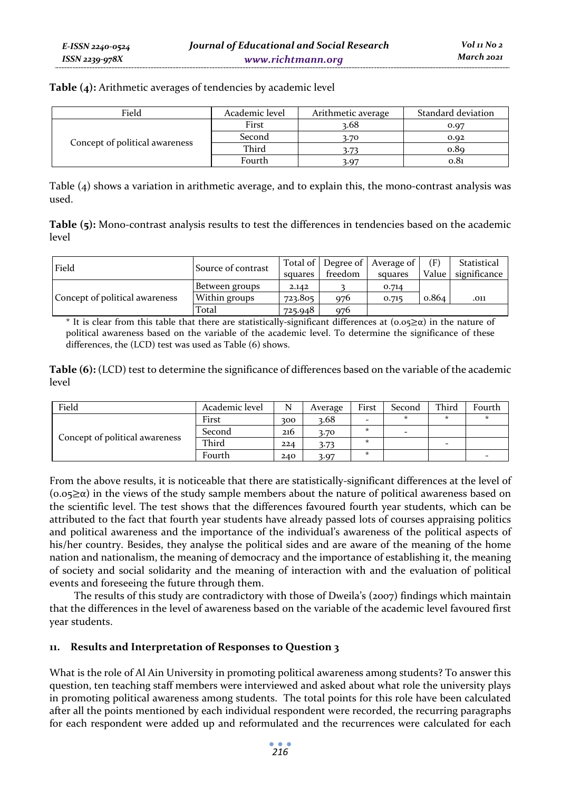|  |  | Table (4): Arithmetic averages of tendencies by academic level |
|--|--|----------------------------------------------------------------|
|--|--|----------------------------------------------------------------|

| Field                          | Academic level | Arithmetic average | Standard deviation |
|--------------------------------|----------------|--------------------|--------------------|
|                                | First<br>3.68  |                    | 0.07               |
|                                | Second         | 3.70               | 0.92               |
| Concept of political awareness | Third          | 3.73               | 0.89               |
|                                | Fourth         | 3.07               | 0.81               |

Table (4) shows a variation in arithmetic average, and to explain this, the mono-contrast analysis was used.

|       | Table (5): Mono-contrast analysis results to test the differences in tendencies based on the academic |  |  |  |
|-------|-------------------------------------------------------------------------------------------------------|--|--|--|
| level |                                                                                                       |  |  |  |

| Field                          | Source of contrast |         |         | Total of Degree of Average of | (F)   | Statistical  |
|--------------------------------|--------------------|---------|---------|-------------------------------|-------|--------------|
|                                |                    | squares | freedom | squares                       | Value | significance |
|                                | Between groups     | 2.142   |         | 0.714                         |       |              |
| Concept of political awareness | Within groups      | 723.805 | 976     | 0.715                         | 0.864 | .011         |
|                                | Total              | 725.948 | 976     |                               |       |              |

\* It is clear from this table that there are statistically-significant differences at  $(0.05\ge\alpha)$  in the nature of political awareness based on the variable of the academic level. To determine the significance of these differences, the (LCD) test was used as Table (6) shows.

**Table (6):** (LCD) test to determine the significance of differences based on the variable of the academic level

| Field                          | Academic level | N   | Average | First                    | Second                   | Third                    | Fourth |
|--------------------------------|----------------|-----|---------|--------------------------|--------------------------|--------------------------|--------|
|                                | First          | 300 | 3.68    | $\overline{\phantom{0}}$ | $\star$                  | $\star$                  | ÷      |
| Concept of political awareness | Second         | 216 | 3.70    | $\star$                  | $\overline{\phantom{0}}$ |                          |        |
|                                | Third          | 224 | 3.73    | $\star$                  |                          | $\overline{\phantom{0}}$ |        |
|                                | Fourth         | 240 | 3.97    | $\star$                  |                          |                          |        |

From the above results, it is noticeable that there are statistically-significant differences at the level of  $(0.05\ge\alpha)$  in the views of the study sample members about the nature of political awareness based on the scientific level. The test shows that the differences favoured fourth year students, which can be attributed to the fact that fourth year students have already passed lots of courses appraising politics and political awareness and the importance of the individual's awareness of the political aspects of his/her country. Besides, they analyse the political sides and are aware of the meaning of the home nation and nationalism, the meaning of democracy and the importance of establishing it, the meaning of society and social solidarity and the meaning of interaction with and the evaluation of political events and foreseeing the future through them.

The results of this study are contradictory with those of Dweila's (2007) findings which maintain that the differences in the level of awareness based on the variable of the academic level favoured first year students.

#### **11. Results and Interpretation of Responses to Question 3**

What is the role of Al Ain University in promoting political awareness among students? To answer this question, ten teaching staff members were interviewed and asked about what role the university plays in promoting political awareness among students. The total points for this role have been calculated after all the points mentioned by each individual respondent were recorded, the recurring paragraphs for each respondent were added up and reformulated and the recurrences were calculated for each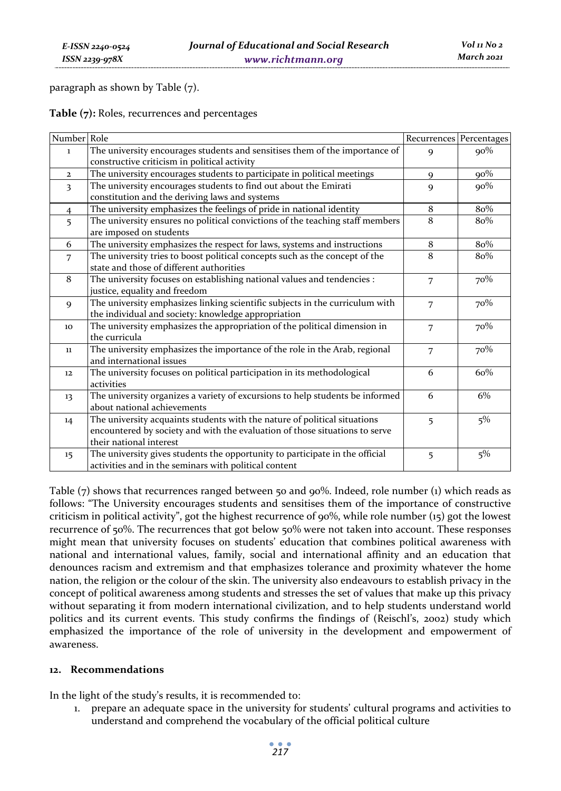paragraph as shown by Table (7).

**Table (7):** Roles, recurrences and percentages

| Number Role             |                                                                                                                                                                                     |                | Recurrences Percentages |
|-------------------------|-------------------------------------------------------------------------------------------------------------------------------------------------------------------------------------|----------------|-------------------------|
| $\mathbf{1}$            | The university encourages students and sensitises them of the importance of<br>constructive criticism in political activity                                                         | 9              | $90\%$                  |
| $\overline{2}$          | The university encourages students to participate in political meetings                                                                                                             | $\mathbf Q$    | $90\%$                  |
| $\overline{\mathbf{3}}$ | The university encourages students to find out about the Emirati<br>constitution and the deriving laws and systems                                                                  | 9              | $90\%$                  |
| $\overline{4}$          | The university emphasizes the feelings of pride in national identity                                                                                                                | 8              | 80%                     |
| 5                       | The university ensures no political convictions of the teaching staff members<br>are imposed on students                                                                            | 8              | 80%                     |
| 6                       | The university emphasizes the respect for laws, systems and instructions                                                                                                            | 8              | 80%                     |
| $\overline{7}$          | The university tries to boost political concepts such as the concept of the<br>state and those of different authorities                                                             | 8              | 80%                     |
| 8                       | The university focuses on establishing national values and tendencies :<br>justice, equality and freedom                                                                            | $\overline{7}$ | 70%                     |
| $\mathbf{Q}$            | The university emphasizes linking scientific subjects in the curriculum with<br>the individual and society: knowledge appropriation                                                 | 7              | 70%                     |
| 10                      | The university emphasizes the appropriation of the political dimension in<br>the curricula                                                                                          | $\overline{7}$ | 70%                     |
| $11\,$                  | The university emphasizes the importance of the role in the Arab, regional<br>and international issues                                                                              | $\overline{7}$ | 70%                     |
| 12                      | The university focuses on political participation in its methodological<br>activities                                                                                               | 6              | 60%                     |
| 13                      | The university organizes a variety of excursions to help students be informed<br>about national achievements                                                                        | 6              | 6%                      |
| 14                      | The university acquaints students with the nature of political situations<br>encountered by society and with the evaluation of those situations to serve<br>their national interest | 5              | 5%                      |
| 15                      | The university gives students the opportunity to participate in the official<br>activities and in the seminars with political content                                               | 5              | $5\%$                   |

Table (7) shows that recurrences ranged between 50 and 90%. Indeed, role number (1) which reads as follows: "The University encourages students and sensitises them of the importance of constructive criticism in political activity", got the highest recurrence of 90%, while role number (15) got the lowest recurrence of 50%. The recurrences that got below 50% were not taken into account. These responses might mean that university focuses on students' education that combines political awareness with national and international values, family, social and international affinity and an education that denounces racism and extremism and that emphasizes tolerance and proximity whatever the home nation, the religion or the colour of the skin. The university also endeavours to establish privacy in the concept of political awareness among students and stresses the set of values that make up this privacy without separating it from modern international civilization, and to help students understand world politics and its current events. This study confirms the findings of (Reischl's, 2002) study which emphasized the importance of the role of university in the development and empowerment of awareness.

#### **12. Recommendations**

In the light of the study's results, it is recommended to:

1. prepare an adequate space in the university for students' cultural programs and activities to understand and comprehend the vocabulary of the official political culture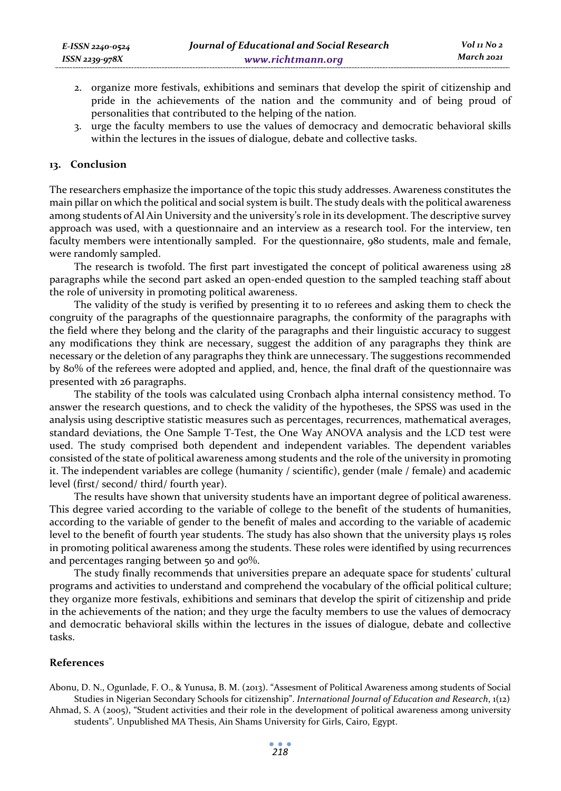- 2. organize more festivals, exhibitions and seminars that develop the spirit of citizenship and pride in the achievements of the nation and the community and of being proud of personalities that contributed to the helping of the nation.
- 3. urge the faculty members to use the values of democracy and democratic behavioral skills within the lectures in the issues of dialogue, debate and collective tasks.

#### **13. Conclusion**

The researchers emphasize the importance of the topic this study addresses. Awareness constitutes the main pillar on which the political and social system is built. The study deals with the political awareness among students of Al Ain University and the university's role in its development. The descriptive survey approach was used, with a questionnaire and an interview as a research tool. For the interview, ten faculty members were intentionally sampled. For the questionnaire, 980 students, male and female, were randomly sampled.

The research is twofold. The first part investigated the concept of political awareness using 28 paragraphs while the second part asked an open-ended question to the sampled teaching staff about the role of university in promoting political awareness.

The validity of the study is verified by presenting it to 10 referees and asking them to check the congruity of the paragraphs of the questionnaire paragraphs, the conformity of the paragraphs with the field where they belong and the clarity of the paragraphs and their linguistic accuracy to suggest any modifications they think are necessary, suggest the addition of any paragraphs they think are necessary or the deletion of any paragraphs they think are unnecessary. The suggestions recommended by 80% of the referees were adopted and applied, and, hence, the final draft of the questionnaire was presented with 26 paragraphs.

The stability of the tools was calculated using Cronbach alpha internal consistency method. To answer the research questions, and to check the validity of the hypotheses, the SPSS was used in the analysis using descriptive statistic measures such as percentages, recurrences, mathematical averages, standard deviations, the One Sample T-Test, the One Way ANOVA analysis and the LCD test were used. The study comprised both dependent and independent variables. The dependent variables consisted of the state of political awareness among students and the role of the university in promoting it. The independent variables are college (humanity / scientific), gender (male / female) and academic level (first/ second/ third/ fourth year).

The results have shown that university students have an important degree of political awareness. This degree varied according to the variable of college to the benefit of the students of humanities, according to the variable of gender to the benefit of males and according to the variable of academic level to the benefit of fourth year students. The study has also shown that the university plays 15 roles in promoting political awareness among the students. These roles were identified by using recurrences and percentages ranging between 50 and 90%.

The study finally recommends that universities prepare an adequate space for students' cultural programs and activities to understand and comprehend the vocabulary of the official political culture; they organize more festivals, exhibitions and seminars that develop the spirit of citizenship and pride in the achievements of the nation; and they urge the faculty members to use the values of democracy and democratic behavioral skills within the lectures in the issues of dialogue, debate and collective tasks.

#### **References**

Abonu, D. N., Ogunlade, F. O., & Yunusa, B. M. (2013). "Assesment of Political Awareness among students of Social Studies in Nigerian Secondary Schools for citizenship". *International Journal of Education and Research*, 1(12)

Ahmad, S. A (2005), "Student activities and their role in the development of political awareness among university students". Unpublished MA Thesis, Ain Shams University for Girls, Cairo, Egypt.